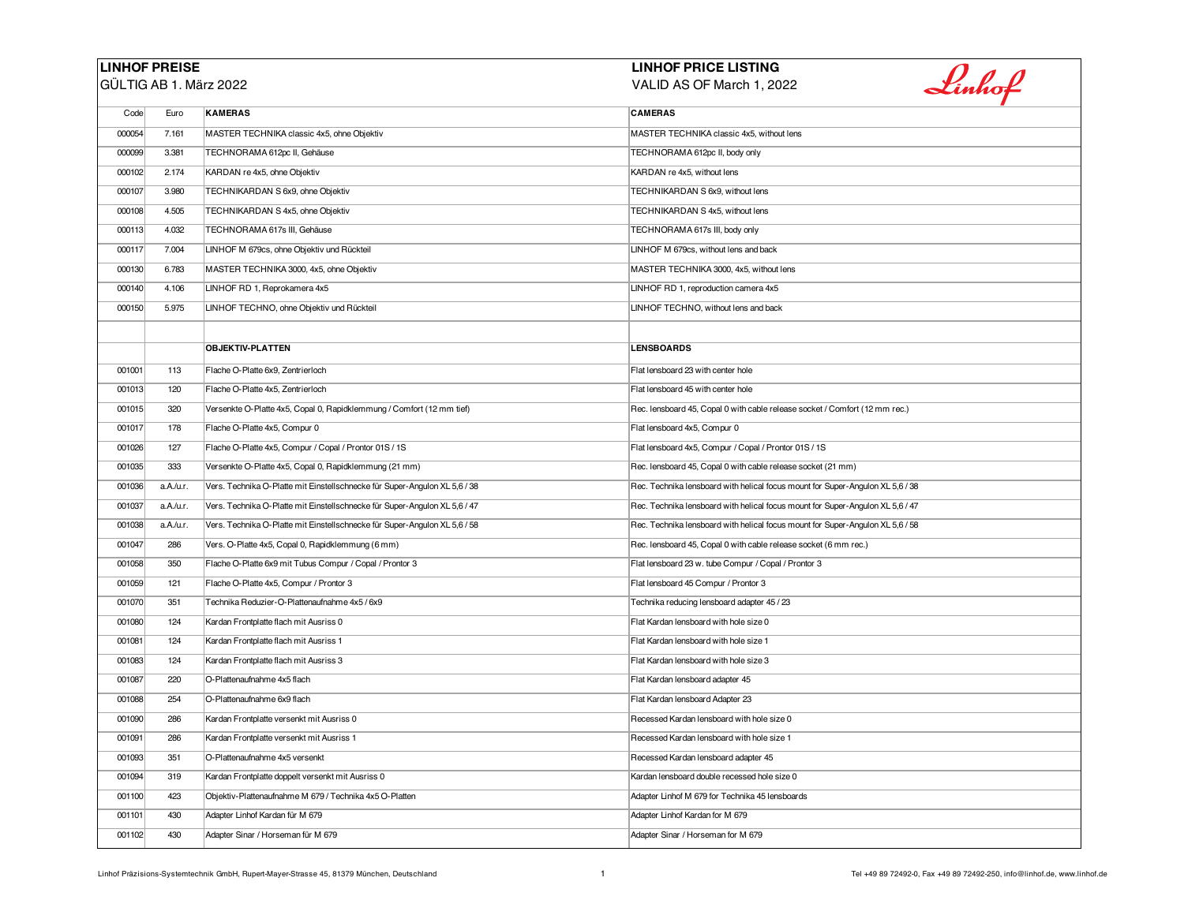## **LINHOF PREISE**

GÜLTIG AB 1. März 2022

## **LINHOF PRICE LISTING**

VALID AS OF March 1, 2022

| Code   | Euro      | <b>KAMERAS</b>                                                             | <b>CAMERAS</b>                                                                 |
|--------|-----------|----------------------------------------------------------------------------|--------------------------------------------------------------------------------|
| 000054 | 7.161     | MASTER TECHNIKA classic 4x5, ohne Objektiv                                 | MASTER TECHNIKA classic 4x5, without lens                                      |
| 000099 | 3.381     | TECHNORAMA 612pc II, Gehäuse                                               | TECHNORAMA 612pc II, body only                                                 |
| 000102 | 2.174     | KARDAN re 4x5, ohne Objektiv                                               | KARDAN re 4x5, without lens                                                    |
| 000107 | 3.980     | TECHNIKARDAN S 6x9, ohne Objektiv                                          | TECHNIKARDAN S 6x9, without lens                                               |
| 000108 | 4.505     | TECHNIKARDAN S 4x5, ohne Objektiv                                          | TECHNIKARDAN S 4x5, without lens                                               |
| 000113 | 4.032     | TECHNORAMA 617s III, Gehäuse                                               | TECHNORAMA 617s III, body only                                                 |
| 000117 | 7.004     | LINHOF M 679cs, ohne Objektiv und Rückteil                                 | LINHOF M 679cs, without lens and back                                          |
| 000130 | 6.783     | MASTER TECHNIKA 3000, 4x5, ohne Objektiv                                   | MASTER TECHNIKA 3000, 4x5, without lens                                        |
| 000140 | 4.106     | LINHOF RD 1, Reprokamera 4x5                                               | LINHOF RD 1, reproduction camera 4x5                                           |
| 000150 | 5.975     | LINHOF TECHNO, ohne Objektiv und Rückteil                                  | LINHOF TECHNO, without lens and back                                           |
|        |           |                                                                            |                                                                                |
|        |           | <b>OBJEKTIV-PLATTEN</b>                                                    | <b>LENSBOARDS</b>                                                              |
| 001001 | 113       | Flache O-Platte 6x9, Zentrierloch                                          | Flat lensboard 23 with center hole                                             |
| 001013 | 120       | Flache O-Platte 4x5, Zentrierloch                                          | Flat lensboard 45 with center hole                                             |
| 001015 | 320       | Versenkte O-Platte 4x5, Copal 0, Rapidklemmung / Comfort (12 mm tief)      | Rec. lensboard 45, Copal 0 with cable release socket / Comfort (12 mm rec.)    |
| 001017 | 178       | Flache O-Platte 4x5, Compur 0                                              | Flat lensboard 4x5, Compur 0                                                   |
| 001026 | 127       | Flache O-Platte 4x5, Compur / Copal / Prontor 01S / 1S                     | Flat lensboard 4x5, Compur / Copal / Prontor 01S / 1S                          |
| 001035 | 333       | Versenkte O-Platte 4x5, Copal 0, Rapidklemmung (21 mm)                     | Rec. lensboard 45, Copal 0 with cable release socket (21 mm)                   |
| 001036 | a.A./u.r. | Vers. Technika O-Platte mit Einstellschnecke für Super-Angulon XL 5,6 / 38 | Rec. Technika lensboard with helical focus mount for Super-Angulon XL 5,6 / 38 |
| 001037 | a.A./u.r. | Vers. Technika O-Platte mit Einstellschnecke für Super-Angulon XL 5,6 / 47 | Rec. Technika lensboard with helical focus mount for Super-Angulon XL 5,6 / 47 |
| 001038 | a.A./u.r. | Vers. Technika O-Platte mit Einstellschnecke für Super-Angulon XL 5,6 / 58 | Rec. Technika lensboard with helical focus mount for Super-Angulon XL 5,6 / 58 |
| 001047 | 286       | Vers. O-Platte 4x5, Copal 0, Rapidklemmung (6 mm)                          | Rec. lensboard 45, Copal 0 with cable release socket (6 mm rec.)               |
| 001058 | 350       | Flache O-Platte 6x9 mit Tubus Compur / Copal / Prontor 3                   | Flat lensboard 23 w. tube Compur / Copal / Prontor 3                           |
| 001059 | 121       | Flache O-Platte 4x5, Compur / Prontor 3                                    | Flat lensboard 45 Compur / Prontor 3                                           |
| 001070 | 351       | Technika Reduzier-O-Plattenaufnahme 4x5 / 6x9                              | Technika reducing lensboard adapter 45 / 23                                    |
| 001080 | 124       | Kardan Frontplatte flach mit Ausriss 0                                     | Flat Kardan lensboard with hole size 0                                         |
| 001081 | 124       | Kardan Frontplatte flach mit Ausriss 1                                     | Flat Kardan lensboard with hole size 1                                         |
| 001083 | 124       | Kardan Frontplatte flach mit Ausriss 3                                     | Flat Kardan lensboard with hole size 3                                         |
| 001087 | 220       | O-Plattenaufnahme 4x5 flach                                                | Flat Kardan lensboard adapter 45                                               |
| 001088 | 254       | O-Plattenaufnahme 6x9 flach                                                | Flat Kardan lensboard Adapter 23                                               |
| 001090 | 286       | Kardan Frontplatte versenkt mit Ausriss 0                                  | Recessed Kardan lensboard with hole size 0                                     |

001091 286 Kardan Frontplatte versenkt mit Ausriss 1 Recessed Kardan lensboard with hole size 1 001093 351 O-Plattenaufnahme 4x5 versenkt Recessed Kardan lensboard adapter 45 001094 319 Kardan Frontplatte doppelt versenkt mit Ausriss 0 Kardan lensboard double recessed hole size 0 Kardan lensboard double recessed hole size 0 001100 423 Objektiv-Plattenaufnahme M 679 / Technika 4x5 O-Platten Adapter Linhof M 679 for Technika 45 lensboards

001101 430 Adapter Linhof Kardan für M 679 Adapter Linhof Kardan for M 679 001102 430 Adapter Sinar / Horseman für M 679 Adapter Sinar / Horseman for M 679 Linhof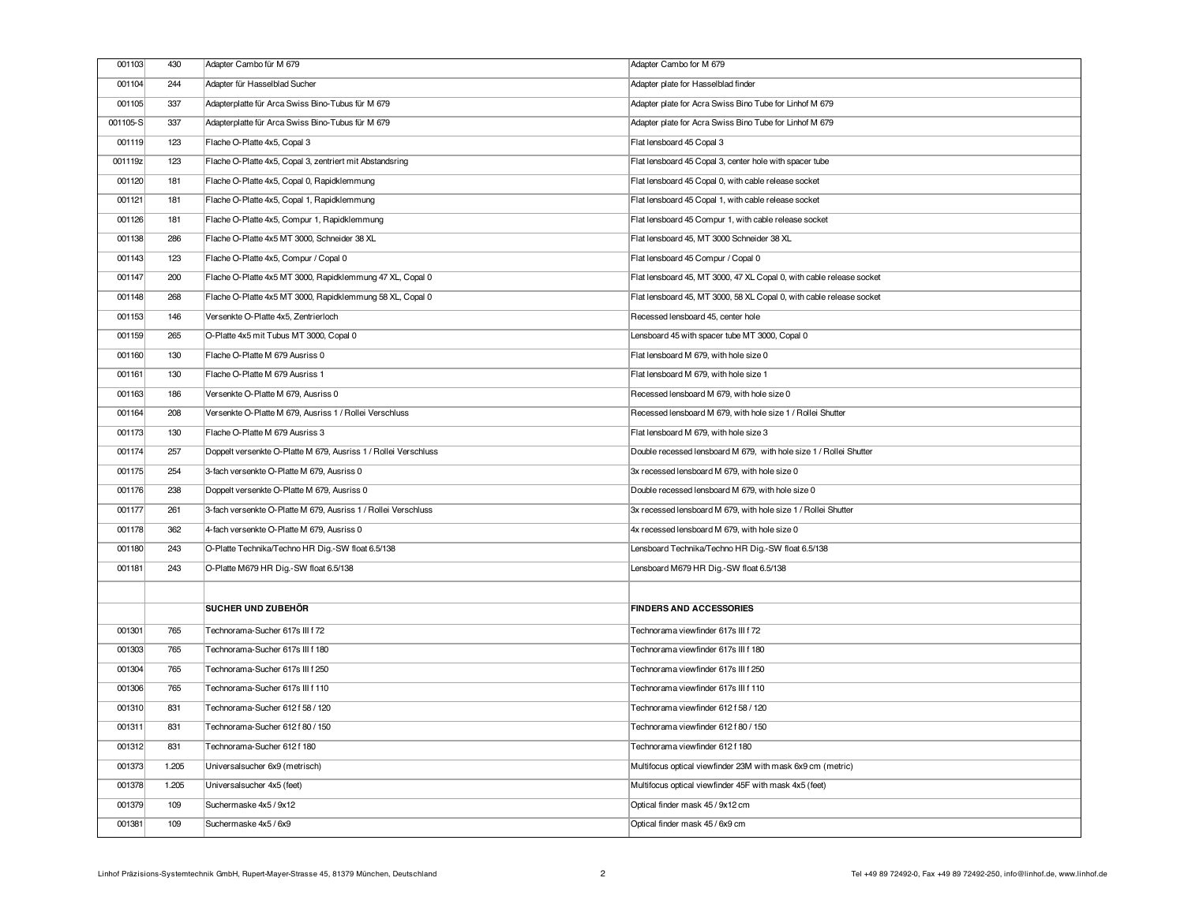| 001103   | 430   | Adapter Cambo für M 679                                         | Adapter Cambo for M 679                                              |
|----------|-------|-----------------------------------------------------------------|----------------------------------------------------------------------|
| 001104   | 244   | Adapter für Hasselblad Sucher                                   | Adapter plate for Hasselblad finder                                  |
| 001105   | 337   | Adapterplatte für Arca Swiss Bino-Tubus für M 679               | Adapter plate for Acra Swiss Bino Tube for Linhof M 679              |
| 001105-S | 337   | Adapterplatte für Arca Swiss Bino-Tubus für M 679               | Adapter plate for Acra Swiss Bino Tube for Linhof M 679              |
| 001119   | 123   | Flache O-Platte 4x5, Copal 3                                    | Flat lensboard 45 Copal 3                                            |
| 001119z  | 123   | Flache O-Platte 4x5, Copal 3, zentriert mit Abstandsring        | Flat lensboard 45 Copal 3, center hole with spacer tube              |
| 001120   | 181   | Flache O-Platte 4x5, Copal 0, Rapidklemmung                     | Flat lensboard 45 Copal 0, with cable release socket                 |
| 001121   | 181   | Flache O-Platte 4x5, Copal 1, Rapidklemmung                     | Flat lensboard 45 Copal 1, with cable release socket                 |
| 001126   | 181   | Flache O-Platte 4x5, Compur 1, Rapidklemmung                    | Flat lensboard 45 Compur 1, with cable release socket                |
| 001138   | 286   | Flache O-Platte 4x5 MT 3000, Schneider 38 XL                    | Flat lensboard 45, MT 3000 Schneider 38 XL                           |
| 001143   | 123   | Flache O-Platte 4x5, Compur / Copal 0                           | Flat lensboard 45 Compur / Copal 0                                   |
| 001147   | 200   | Flache O-Platte 4x5 MT 3000, Rapidklemmung 47 XL, Copal 0       | Flat lensboard 45, MT 3000, 47 XL Copal 0, with cable release socket |
| 001148   | 268   | Flache O-Platte 4x5 MT 3000, Rapidklemmung 58 XL, Copal 0       | Flat lensboard 45, MT 3000, 58 XL Copal 0, with cable release socket |
| 001153   | 146   | Versenkte O-Platte 4x5, Zentrierloch                            | Recessed lensboard 45, center hole                                   |
| 001159   | 265   | O-Platte 4x5 mit Tubus MT 3000, Copal 0                         | Lensboard 45 with spacer tube MT 3000, Copal 0                       |
| 001160   | 130   | Flache O-Platte M 679 Ausriss 0                                 | Flat lensboard M 679, with hole size 0                               |
| 001161   | 130   | Flache O-Platte M 679 Ausriss 1                                 | Flat lensboard M 679, with hole size 1                               |
| 001163   | 186   | Versenkte O-Platte M 679, Ausriss 0                             | Recessed lensboard M 679, with hole size 0                           |
| 001164   | 208   | Versenkte O-Platte M 679, Ausriss 1 / Rollei Verschluss         | Recessed lensboard M 679, with hole size 1 / Rollei Shutter          |
| 001173   | 130   | Flache O-Platte M 679 Ausriss 3                                 | Flat lensboard M 679, with hole size 3                               |
|          |       |                                                                 |                                                                      |
| 001174   | 257   | Doppelt versenkte O-Platte M 679, Ausriss 1 / Rollei Verschluss | Double recessed lensboard M 679, with hole size 1 / Rollei Shutter   |
| 001175   | 254   | 3-fach versenkte O-Platte M 679, Ausriss 0                      | 3x recessed lensboard M 679, with hole size 0                        |
| 001176   | 238   | Doppelt versenkte O-Platte M 679, Ausriss 0                     | Double recessed lensboard M 679, with hole size 0                    |
| 001177   | 261   | 3-fach versenkte O-Platte M 679, Ausriss 1 / Rollei Verschluss  | 3x recessed lensboard M 679, with hole size 1 / Rollei Shutter       |
| 001178   | 362   | 4-fach versenkte O-Platte M 679, Ausriss 0                      | 4x recessed lensboard M 679, with hole size 0                        |
| 001180   | 243   | O-Platte Technika/Techno HR Dig.-SW float 6.5/138               | Lensboard Technika/Techno HR Dig.-SW float 6.5/138                   |
| 001181   | 243   | O-Platte M679 HR Dig.-SW float 6.5/138                          | Lensboard M679 HR Dig.-SW float 6.5/138                              |
|          |       |                                                                 |                                                                      |
|          |       | SUCHER UND ZUBEHÖR                                              | <b>FINDERS AND ACCESSORIES</b>                                       |
| 001301   | 765   | Technorama-Sucher 617s III f 72                                 | Technorama viewfinder 617s III f 72                                  |
| 001303   | 765   | Technorama-Sucher 617s III f 180                                | Technorama viewfinder 617s III f 180                                 |
| 001304   | 765   | Technorama-Sucher 617s III f 250                                | Technorama viewfinder 617s III f 250                                 |
| 001306   | 765   | Technorama-Sucher 617s III f 110                                | Technorama viewfinder 617s III f 110                                 |
| 001310   | 831   | Technorama-Sucher 612 f 58 / 120                                | Technorama viewfinder 612 f 58 / 120                                 |
| 001311   | 831   | Technorama-Sucher 612 f 80 / 150                                | Technorama viewfinder 612 f 80 / 150                                 |
| 001312   | 831   | Technorama-Sucher 612 f 180                                     | Technorama viewfinder 612 f 180                                      |
| 001373   | 1.205 | Universalsucher 6x9 (metrisch)                                  | Multifocus optical viewfinder 23M with mask 6x9 cm (metric)          |
| 001378   | 1.205 | Universalsucher 4x5 (feet)                                      | Multifocus optical viewfinder 45F with mask 4x5 (feet)               |
| 001379   | 109   | Suchermaske 4x5 / 9x12                                          | Optical finder mask 45 / 9x12 cm                                     |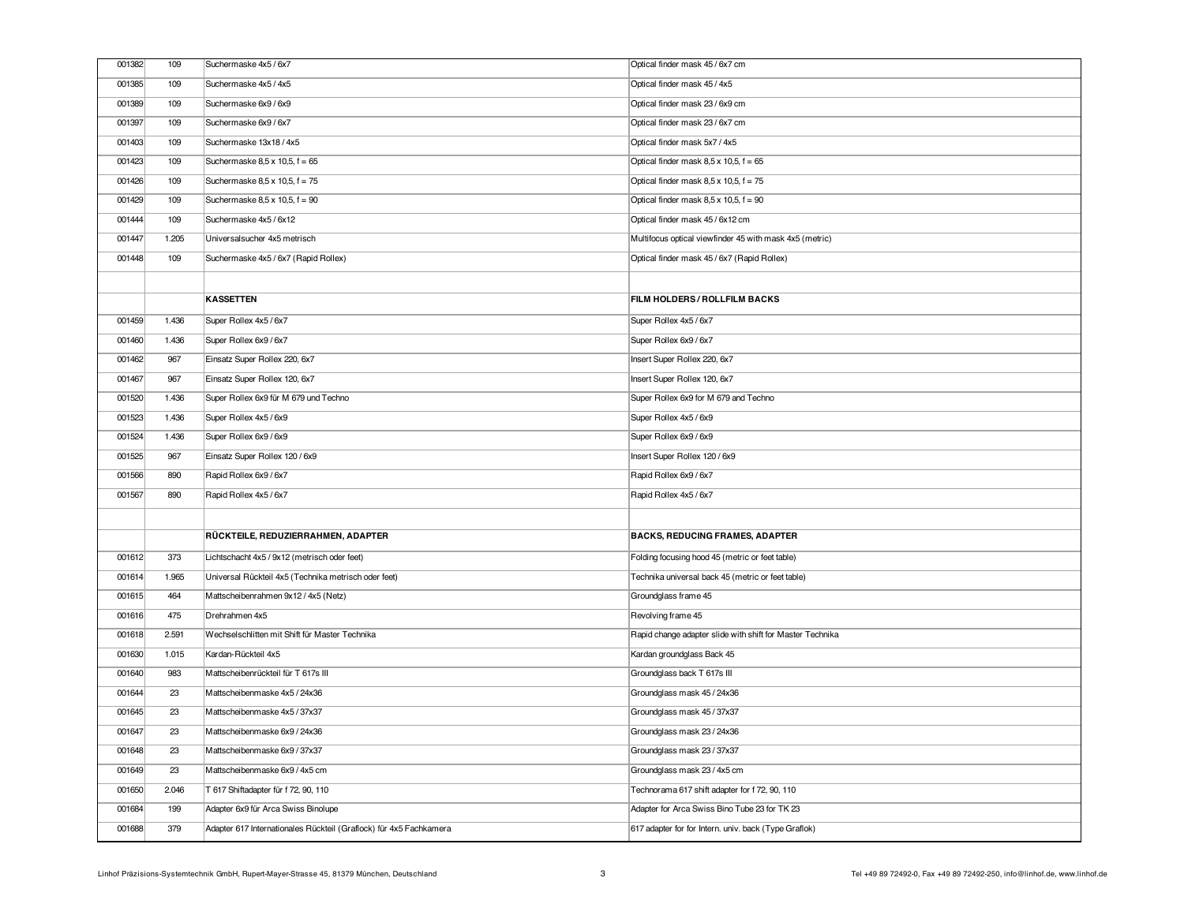| 001382 | 109   | Suchermaske 4x5 / 6x7                                              | Optical finder mask 45 / 6x7 cm                           |
|--------|-------|--------------------------------------------------------------------|-----------------------------------------------------------|
| 001385 | 109   | Suchermaske 4x5 / 4x5                                              | Optical finder mask 45 / 4x5                              |
| 001389 | 109   | Suchermaske 6x9 / 6x9                                              | Optical finder mask 23 / 6x9 cm                           |
| 001397 | 109   | Suchermaske 6x9 / 6x7                                              | Optical finder mask 23 / 6x7 cm                           |
| 001403 | 109   | Suchermaske 13x18 / 4x5                                            | Optical finder mask 5x7 / 4x5                             |
| 001423 | 109   | Suchermaske 8,5 x 10,5, f = 65                                     | Optical finder mask $8,5 \times 10,5$ , $f = 65$          |
| 001426 | 109   | Suchermaske 8,5 x 10,5, f = 75                                     | Optical finder mask $8,5 \times 10,5$ , $f = 75$          |
| 001429 | 109   | Suchermaske 8,5 x 10,5, f = 90                                     | Optical finder mask $8,5 \times 10,5$ , $f = 90$          |
| 001444 | 109   | Suchermaske 4x5 / 6x12                                             | Optical finder mask 45 / 6x12 cm                          |
| 001447 | 1.205 | Universalsucher 4x5 metrisch                                       | Multifocus optical viewfinder 45 with mask 4x5 (metric)   |
| 001448 | 109   | Suchermaske 4x5 / 6x7 (Rapid Rollex)                               | Optical finder mask 45 / 6x7 (Rapid Rollex)               |
|        |       |                                                                    |                                                           |
|        |       | <b>KASSETTEN</b>                                                   | FILM HOLDERS/ROLLFILM BACKS                               |
| 001459 | 1.436 | Super Rollex 4x5 / 6x7                                             | Super Rollex 4x5 / 6x7                                    |
| 001460 | 1.436 | Super Rollex 6x9 / 6x7                                             | Super Rollex 6x9 / 6x7                                    |
| 001462 | 967   | Einsatz Super Rollex 220, 6x7                                      | Insert Super Rollex 220, 6x7                              |
| 001467 | 967   | Einsatz Super Rollex 120, 6x7                                      | Insert Super Rollex 120, 6x7                              |
| 001520 | 1.436 | Super Rollex 6x9 für M 679 und Techno                              | Super Rollex 6x9 for M 679 and Techno                     |
| 001523 | 1.436 | Super Rollex 4x5 / 6x9                                             | Super Rollex 4x5 / 6x9                                    |
| 001524 | 1.436 | Super Rollex 6x9 / 6x9                                             | Super Rollex 6x9 / 6x9                                    |
| 001525 | 967   | Einsatz Super Rollex 120 / 6x9                                     | Insert Super Rollex 120 / 6x9                             |
| 001566 | 890   | Rapid Rollex 6x9 / 6x7                                             | Rapid Rollex 6x9 / 6x7                                    |
| 001567 | 890   | Rapid Rollex 4x5 / 6x7                                             | Rapid Rollex 4x5 / 6x7                                    |
|        |       |                                                                    |                                                           |
|        |       | RÜCKTEILE, REDUZIERRAHMEN, ADAPTER                                 | <b>BACKS, REDUCING FRAMES, ADAPTER</b>                    |
| 001612 | 373   | Lichtschacht 4x5 / 9x12 (metrisch oder feet)                       | Folding focusing hood 45 (metric or feet table)           |
| 001614 | 1.965 | Universal Rückteil 4x5 (Technika metrisch oder feet)               | Technika universal back 45 (metric or feet table)         |
| 001615 | 464   | Mattscheibenrahmen 9x12 / 4x5 (Netz)                               | Groundglass frame 45                                      |
| 001616 | 475   | Drehrahmen 4x5                                                     | Revolving frame 45                                        |
| 001618 | 2.591 | Wechselschlitten mit Shift für Master Technika                     | Rapid change adapter slide with shift for Master Technika |
| 001630 | 1.015 | Kardan-Rückteil 4x5                                                | Kardan groundglass Back 45                                |
| 001640 | 983   | Mattscheibenrückteil für T 617s III                                | Groundglass back T 617s III                               |
| 001644 | 23    | Mattscheibenmaske 4x5 / 24x36                                      | Groundglass mask 45 / 24x36                               |
| 001645 | 23    | Mattscheibenmaske 4x5 / 37x37                                      | Groundglass mask 45 / 37x37                               |
| 001647 | 23    | Mattscheibenmaske 6x9 / 24x36                                      | Groundglass mask 23 / 24x36                               |
| 001648 | 23    | Mattscheibenmaske 6x9 / 37x37                                      | Groundglass mask 23 / 37x37                               |
| 001649 | 23    | Mattscheibenmaske 6x9 / 4x5 cm                                     | Groundglass mask 23 / 4x5 cm                              |
| 001650 | 2.046 | T 617 Shiftadapter für f 72, 90, 110                               | Technorama 617 shift adapter for f 72, 90, 110            |
| 001684 | 199   | Adapter 6x9 für Arca Swiss Binolupe                                | Adapter for Arca Swiss Bino Tube 23 for TK 23             |
| 001688 | 379   | Adapter 617 Internationales Rückteil (Graflock) für 4x5 Fachkamera | 617 adapter for for Intern. univ. back (Type Graflok)     |
|        |       |                                                                    |                                                           |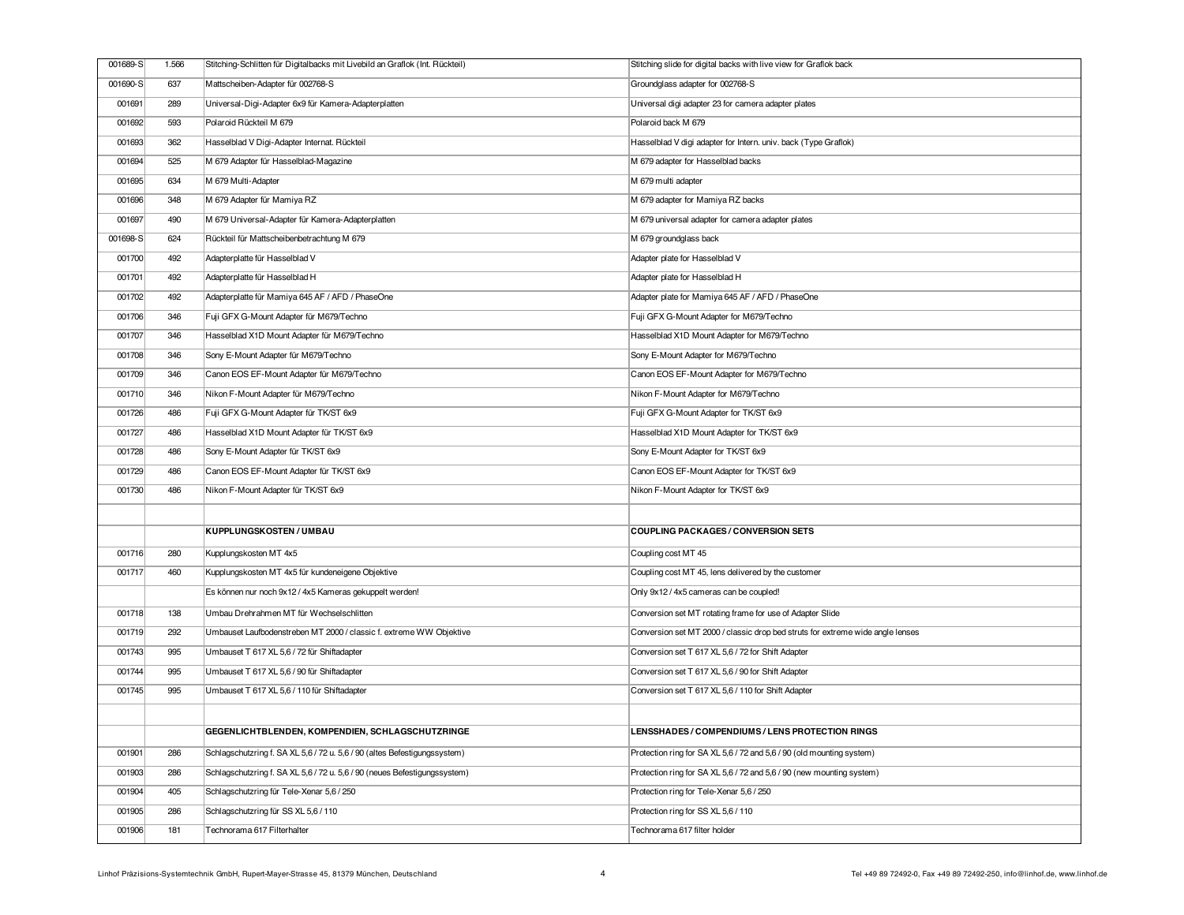| 001689-S | 1.566 | Stitching-Schlitten für Digitalbacks mit Livebild an Graflok (Int. Rückteil) | Stitching slide for digital backs with live view for Graflok back              |
|----------|-------|------------------------------------------------------------------------------|--------------------------------------------------------------------------------|
| 001690-S | 637   | Mattscheiben-Adapter für 002768-S                                            | Groundglass adapter for 002768-S                                               |
| 001691   | 289   | Universal-Digi-Adapter 6x9 für Kamera-Adapterplatten                         | Universal digi adapter 23 for camera adapter plates                            |
| 001692   | 593   | Polaroid Rückteil M 679                                                      | Polaroid back M 679                                                            |
| 001693   | 362   | Hasselblad V Digi-Adapter Internat. Rückteil                                 | Hasselblad V digi adapter for Intern. univ. back (Type Graflok)                |
| 001694   | 525   | M 679 Adapter für Hasselblad-Magazine                                        | M 679 adapter for Hasselblad backs                                             |
| 001695   | 634   | M 679 Multi-Adapter                                                          | M 679 multi adapter                                                            |
| 001696   | 348   | M 679 Adapter für Mamiya RZ                                                  | M 679 adapter for Mamiya RZ backs                                              |
| 001697   | 490   | M 679 Universal-Adapter für Kamera-Adapterplatten                            | M 679 universal adapter for camera adapter plates                              |
| 001698-S | 624   | Rückteil für Mattscheibenbetrachtung M 679                                   | M 679 groundglass back                                                         |
| 001700   | 492   | Adapterplatte für Hasselblad V                                               | Adapter plate for Hasselblad V                                                 |
| 001701   | 492   | Adapterplatte für Hasselblad H                                               | Adapter plate for Hasselblad H                                                 |
| 001702   | 492   | Adapterplatte für Mamiya 645 AF / AFD / PhaseOne                             | Adapter plate for Mamiya 645 AF / AFD / PhaseOne                               |
| 001706   | 346   | Fuji GFX G-Mount Adapter für M679/Techno                                     | Fuji GFX G-Mount Adapter for M679/Techno                                       |
| 001707   | 346   | Hasselblad X1D Mount Adapter für M679/Techno                                 | Hasselblad X1D Mount Adapter for M679/Techno                                   |
| 001708   | 346   | Sony E-Mount Adapter für M679/Techno                                         | Sony E-Mount Adapter for M679/Techno                                           |
| 001709   | 346   | Canon EOS EF-Mount Adapter für M679/Techno                                   | Canon EOS EF-Mount Adapter for M679/Techno                                     |
| 001710   | 346   | Nikon F-Mount Adapter für M679/Techno                                        | Nikon F-Mount Adapter for M679/Techno                                          |
| 001726   | 486   | Fuji GFX G-Mount Adapter für TK/ST 6x9                                       | Fuji GFX G-Mount Adapter for TK/ST 6x9                                         |
| 001727   | 486   | Hasselblad X1D Mount Adapter für TK/ST 6x9                                   | Hasselblad X1D Mount Adapter for TK/ST 6x9                                     |
| 001728   | 486   | Sony E-Mount Adapter für TK/ST 6x9                                           | Sony E-Mount Adapter for TK/ST 6x9                                             |
| 001729   | 486   | Canon EOS EF-Mount Adapter für TK/ST 6x9                                     | Canon EOS EF-Mount Adapter for TK/ST 6x9                                       |
| 001730   | 486   | Nikon F-Mount Adapter für TK/ST 6x9                                          | Nikon F-Mount Adapter for TK/ST 6x9                                            |
|          |       |                                                                              |                                                                                |
|          |       | KUPPLUNGSKOSTEN / UMBAU                                                      | <b>COUPLING PACKAGES / CONVERSION SETS</b>                                     |
| 001716   | 280   | Kupplungskosten MT 4x5                                                       | Coupling cost MT 45                                                            |
| 001717   | 460   | Kupplungskosten MT 4x5 für kundeneigene Objektive                            | Coupling cost MT 45, lens delivered by the customer                            |
|          |       | Es können nur noch 9x12 / 4x5 Kameras gekuppelt werden!                      | Only 9x12 / 4x5 cameras can be coupled!                                        |
| 001718   | 138   | Umbau Drehrahmen MT für Wechselschlitten                                     | Conversion set MT rotating frame for use of Adapter Slide                      |
| 001719   | 292   | Umbauset Laufbodenstreben MT 2000 / classic f. extreme WW Objektive          | Conversion set MT 2000 / classic drop bed struts for extreme wide angle lenses |
| 001743   | 995   | Umbauset T 617 XL 5,6 / 72 für Shiftadapter                                  | Conversion set T 617 XL 5,6 / 72 for Shift Adapter                             |
| 001744   | 995   | Umbauset T 617 XL 5,6 / 90 für Shiftadapter                                  | Conversion set T 617 XL 5,6 / 90 for Shift Adapter                             |
| 001745   | 995   | Umbauset T 617 XL 5,6 / 110 für Shiftadapter                                 | Conversion set T 617 XL 5,6 / 110 for Shift Adapter                            |
|          |       |                                                                              |                                                                                |
|          |       | GEGENLICHTBLENDEN, KOMPENDIEN, SCHLAGSCHUTZRINGE                             | <b>LENSSHADES / COMPENDIUMS / LENS PROTECTION RINGS</b>                        |
| 001901   | 286   | Schlagschutzring f. SA XL 5,6 / 72 u. 5,6 / 90 (altes Befestigungssystem)    | Protection ring for SA XL 5,6 / 72 and 5,6 / 90 (old mounting system)          |
| 001903   | 286   | Schlagschutzring f. SA XL 5,6 / 72 u. 5,6 / 90 (neues Befestigungssystem)    | Protection ring for SA XL 5,6 / 72 and 5,6 / 90 (new mounting system)          |
| 001904   | 405   | Schlagschutzring für Tele-Xenar 5,6 / 250                                    | Protection ring for Tele-Xenar 5,6 / 250                                       |
| 001905   | 286   | Schlagschutzring für SS XL 5,6 / 110                                         | Protection ring for SS XL 5,6 / 110                                            |
| 001906   | 181   | Technorama 617 Filterhalter                                                  | Technorama 617 filter holder                                                   |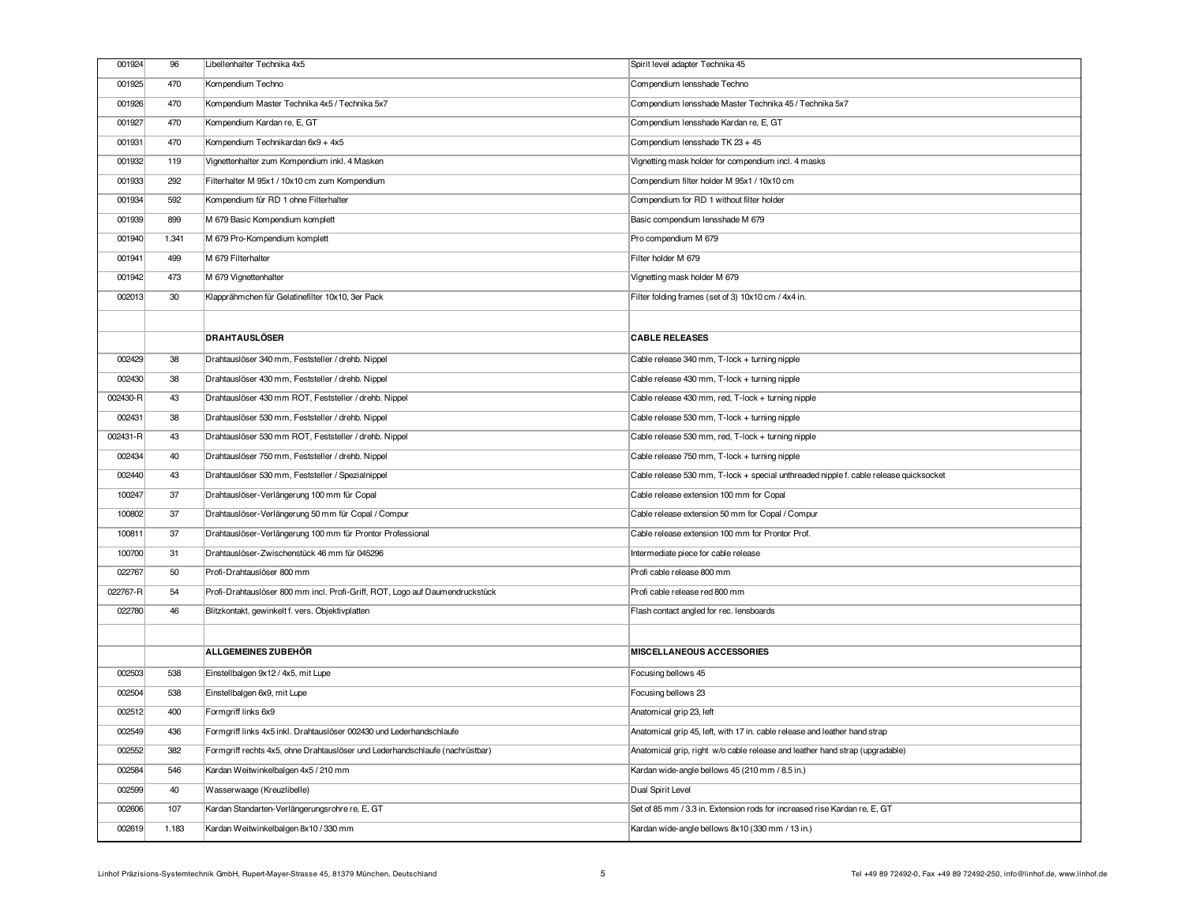| 001924   | 96    | Libellenhalter Technika 4x5                                                  |                                                                                       |
|----------|-------|------------------------------------------------------------------------------|---------------------------------------------------------------------------------------|
|          |       |                                                                              | Spirit level adapter Technika 45                                                      |
| 001925   | 470   | Kompendium Techno                                                            | Compendium lensshade Techno                                                           |
| 001926   | 470   | Kompendium Master Technika 4x5 / Technika 5x7                                | Compendium lensshade Master Technika 45 / Technika 5x7                                |
| 001927   | 470   | Kompendium Kardan re, E, GT                                                  | Compendium Iensshade Kardan re, E, GT                                                 |
| 001931   | 470   | Kompendium Technikardan 6x9 + 4x5                                            | Compendium lensshade TK 23 + 45                                                       |
| 001932   | 119   | Vignettenhalter zum Kompendium inkl. 4 Masken                                | Vignetting mask holder for compendium incl. 4 masks                                   |
| 001933   | 292   | Filterhalter M 95x1 / 10x10 cm zum Kompendium                                | Compendium filter holder M 95x1 / 10x10 cm                                            |
| 001934   | 592   | Kompendium für RD 1 ohne Filterhalter                                        | Compendium for RD 1 without filter holder                                             |
| 001939   | 899   | M 679 Basic Kompendium komplett                                              | Basic compendium lensshade M 679                                                      |
| 001940   | 1.341 | M 679 Pro-Kompendium komplett                                                | Pro compendium M 679                                                                  |
| 001941   | 499   | M 679 Filterhalter                                                           | Filter holder M 679                                                                   |
| 001942   | 473   | M 679 Vignettenhalter                                                        | Vignetting mask holder M 679                                                          |
| 002013   | 30    | Klapprähmchen für Gelatinefilter 10x10, 3er Pack                             | Filter folding frames (set of 3) 10x10 cm / 4x4 in.                                   |
|          |       |                                                                              |                                                                                       |
|          |       | <b>DRAHTAUSLÖSER</b>                                                         | <b>CABLE RELEASES</b>                                                                 |
| 002429   | 38    | Drahtauslöser 340 mm, Feststeller / drehb. Nippel                            | Cable release 340 mm, T-lock + turning nipple                                         |
| 002430   | 38    | Drahtauslöser 430 mm, Feststeller / drehb. Nippel                            | Cable release 430 mm, T-lock + turning nipple                                         |
| 002430-R | 43    | Drahtauslöser 430 mm ROT, Feststeller / drehb. Nippel                        | Cable release 430 mm, red, T-lock + turning nipple                                    |
| 002431   | 38    | Drahtauslöser 530 mm, Feststeller / drehb. Nippel                            | Cable release 530 mm, T-lock + turning nipple                                         |
| 002431-R | 43    | Drahtauslöser 530 mm ROT, Feststeller / drehb. Nippel                        | Cable release 530 mm, red, T-lock + turning nipple                                    |
| 002434   | 40    | Drahtauslöser 750 mm, Feststeller / drehb. Nippel                            | Cable release 750 mm, T-lock + turning nipple                                         |
| 002440   | 43    | Drahtauslöser 530 mm, Feststeller / Spezialnippel                            | Cable release 530 mm, T-lock + special unthreaded nipple f. cable release quicksocket |
| 100247   | 37    | Drahtauslöser-Verlängerung 100 mm für Copal                                  | Cable release extension 100 mm for Copal                                              |
| 100802   | 37    | Drahtauslöser-Verlängerung 50 mm für Copal / Compur                          | Cable release extension 50 mm for Copal / Compur                                      |
| 100811   | 37    | Drahtauslöser-Verlängerung 100 mm für Prontor Professional                   | Cable release extension 100 mm for Prontor Prof.                                      |
| 100700   | 31    | Drahtauslöser-Zwischenstück 46 mm für 045296                                 | Intermediate piece for cable release                                                  |
| 022767   | 50    | Profi-Drahtauslöser 800 mm                                                   | Profi cable release 800 mm                                                            |
| 022767-R | 54    | Profi-Drahtauslöser 800 mm incl. Profi-Griff, ROT, Logo auf Daumendruckstück | Profi cable release red 800 mm                                                        |
| 022780   | 46    | Blitzkontakt, gewinkelt f. vers. Objektivplatten                             | Flash contact angled for rec. lensboards                                              |
|          |       |                                                                              |                                                                                       |
|          |       | ALLGEMEINES ZUBEHÖR                                                          | <b>MISCELLANEOUS ACCESSORIES</b>                                                      |
| 002503   | 538   | Einstellbalgen 9x12 / 4x5, mit Lupe                                          | Focusing bellows 45                                                                   |
| 002504   | 538   | Einstellbalgen 6x9, mit Lupe                                                 | Focusing bellows 23                                                                   |
| 002512   | 400   | Formgriff links 6x9                                                          | Anatomical grip 23, left                                                              |
| 002549   | 436   | Formgriff links 4x5 inkl. Drahtauslöser 002430 und Lederhandschlaufe         | Anatomical grip 45, left, with 17 in. cable release and leather hand strap            |
| 002552   | 382   | Formgriff rechts 4x5, ohne Drahtauslöser und Lederhandschlaufe (nachrüstbar) | Anatomical grip, right w/o cable release and leather hand strap (upgradable)          |
| 002584   | 546   | Kardan Weitwinkelbalgen 4x5 / 210 mm                                         | Kardan wide-angle bellows 45 (210 mm / 8.5 in.)                                       |
| 002599   | 40    | Wasserwaage (Kreuzlibelle)                                                   | Dual Spirit Level                                                                     |
| 002606   | 107   | Kardan Standarten-Verlängerungsrohre re, E, GT                               | Set of 85 mm / 3.3 in. Extension rods for increased rise Kardan re, E, GT             |
| 002619   | 1.183 | Kardan Weitwinkelbalgen 8x10 / 330 mm                                        | Kardan wide-angle bellows 8x10 (330 mm / 13 in.)                                      |
|          |       |                                                                              |                                                                                       |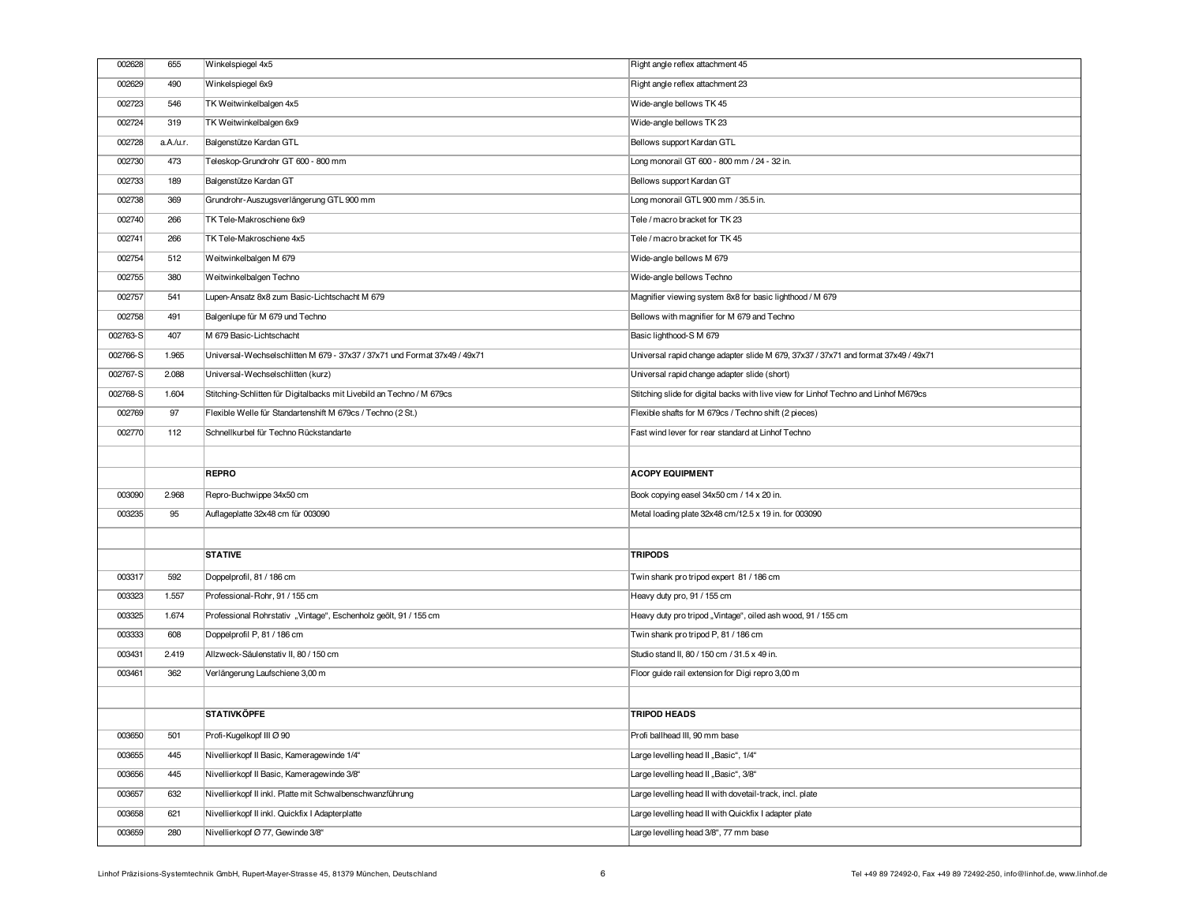| 002628           | 655        | Winkelspiegel 4x5                                                                        | Right angle reflex attachment 45                                                     |
|------------------|------------|------------------------------------------------------------------------------------------|--------------------------------------------------------------------------------------|
| 002629           | 490        | Winkelspiegel 6x9                                                                        | Right angle reflex attachment 23                                                     |
| 002723           | 546        | TK Weitwinkelbalgen 4x5                                                                  | Wide-angle bellows TK 45                                                             |
| 002724           | 319        | TK Weitwinkelbalgen 6x9                                                                  | Wide-angle bellows TK 23                                                             |
| 002728           | a.A./u.r.  | Balgenstütze Kardan GTL                                                                  | Bellows support Kardan GTL                                                           |
| 002730           | 473        | Teleskop-Grundrohr GT 600 - 800 mm                                                       | Long monorail GT 600 - 800 mm / 24 - 32 in.                                          |
| 002733           | 189        | Balgenstütze Kardan GT                                                                   | Bellows support Kardan GT                                                            |
| 002738           | 369        | Grundrohr-Auszugsverlängerung GTL 900 mm                                                 | Long monorail GTL 900 mm / 35.5 in.                                                  |
| 002740           | 266        | TK Tele-Makroschiene 6x9                                                                 | Tele / macro bracket for TK 23                                                       |
| 002741           | 266        | TK Tele-Makroschiene 4x5                                                                 | Tele / macro bracket for TK 45                                                       |
| 002754           | 512        | Weitwinkelbalgen M 679                                                                   | Wide-angle bellows M 679                                                             |
| 002755           | 380        | Weitwinkelbalgen Techno                                                                  | Wide-angle bellows Techno                                                            |
| 002757           | 541        | Lupen-Ansatz 8x8 zum Basic-Lichtschacht M 679                                            | Magnifier viewing system 8x8 for basic lighthood / M 679                             |
| 002758           | 491        | Balgenlupe für M 679 und Techno                                                          | Bellows with magnifier for M 679 and Techno                                          |
| 002763-S         | 407        | M 679 Basic-Lichtschacht                                                                 | Basic lighthood-S M 679                                                              |
| 002766-S         | 1.965      | Universal-Wechselschlitten M 679 - 37x37 / 37x71 und Format 37x49 / 49x71                | Universal rapid change adapter slide M 679, 37x37 / 37x71 and format 37x49 / 49x71   |
| 002767-S         | 2.088      | Universal-Wechselschlitten (kurz)                                                        | Universal rapid change adapter slide (short)                                         |
| 002768-S         | 1.604      | Stitching-Schlitten für Digitalbacks mit Livebild an Techno / M 679cs                    | Stitching slide for digital backs with live view for Linhof Techno and Linhof M679cs |
| 002769           | 97         | Flexible Welle für Standartenshift M 679cs / Techno (2 St.)                              | Flexible shafts for M 679cs / Techno shift (2 pieces)                                |
| 002770           | 112        | Schnellkurbel für Techno Rückstandarte                                                   | Fast wind lever for rear standard at Linhof Techno                                   |
|                  |            |                                                                                          |                                                                                      |
|                  |            |                                                                                          |                                                                                      |
|                  |            | <b>REPRO</b>                                                                             | <b>ACOPY EQUIPMENT</b>                                                               |
| 003090           | 2.968      | Repro-Buchwippe 34x50 cm                                                                 | Book copying easel 34x50 cm / 14 x 20 in.                                            |
| 003235           | 95         | Auflageplatte 32x48 cm für 003090                                                        | Metal loading plate 32x48 cm/12.5 x 19 in. for 003090                                |
|                  |            |                                                                                          |                                                                                      |
|                  |            | <b>STATIVE</b>                                                                           | <b>TRIPODS</b>                                                                       |
| 003317           | 592        | Doppelprofil, 81 / 186 cm                                                                | Twin shank pro tripod expert 81 / 186 cm                                             |
| 003323           | 1.557      | Professional-Rohr, 91 / 155 cm                                                           | Heavy duty pro, 91 / 155 cm                                                          |
| 003325           | 1.674      | Professional Rohrstativ "Vintage", Eschenholz geölt, 91 / 155 cm                         | Heavy duty pro tripod "Vintage", oiled ash wood, 91 / 155 cm                         |
| 003333           | 608        | Doppelprofil P, 81 / 186 cm                                                              | Twin shank pro tripod P, 81 / 186 cm                                                 |
| 003431           | 2.419      | Allzweck-Säulenstativ II, 80 / 150 cm                                                    | Studio stand II, 80 / 150 cm / 31.5 x 49 in.                                         |
| 003461           | 362        | Verlängerung Laufschiene 3,00 m                                                          | Floor guide rail extension for Digi repro 3,00 m                                     |
|                  |            |                                                                                          |                                                                                      |
|                  |            | <b>STATIVKÖPFE</b>                                                                       | <b>TRIPOD HEADS</b>                                                                  |
| 003650           | 501        | Profi-Kugelkopf III Ø 90                                                                 | Profi ballhead III, 90 mm base                                                       |
|                  |            |                                                                                          |                                                                                      |
| 003655<br>003656 | 445<br>445 | Nivellierkopf II Basic, Kameragewinde 1/4"<br>Nivellierkopf II Basic, Kameragewinde 3/8" | Large levelling head II "Basic", 1/4"<br>Large levelling head II "Basic", 3/8"       |
| 003657           | 632        | Nivellierkopf II inkl. Platte mit Schwalbenschwanzführung                                | Large levelling head II with dovetail-track, incl. plate                             |
| 003658           | 621        | Nivellierkopf II inkl. Quickfix I Adapterplatte                                          | Large levelling head II with Quickfix I adapter plate                                |
| 003659           | 280        | Nivellierkopf Ø 77, Gewinde 3/8"                                                         | Large levelling head 3/8", 77 mm base                                                |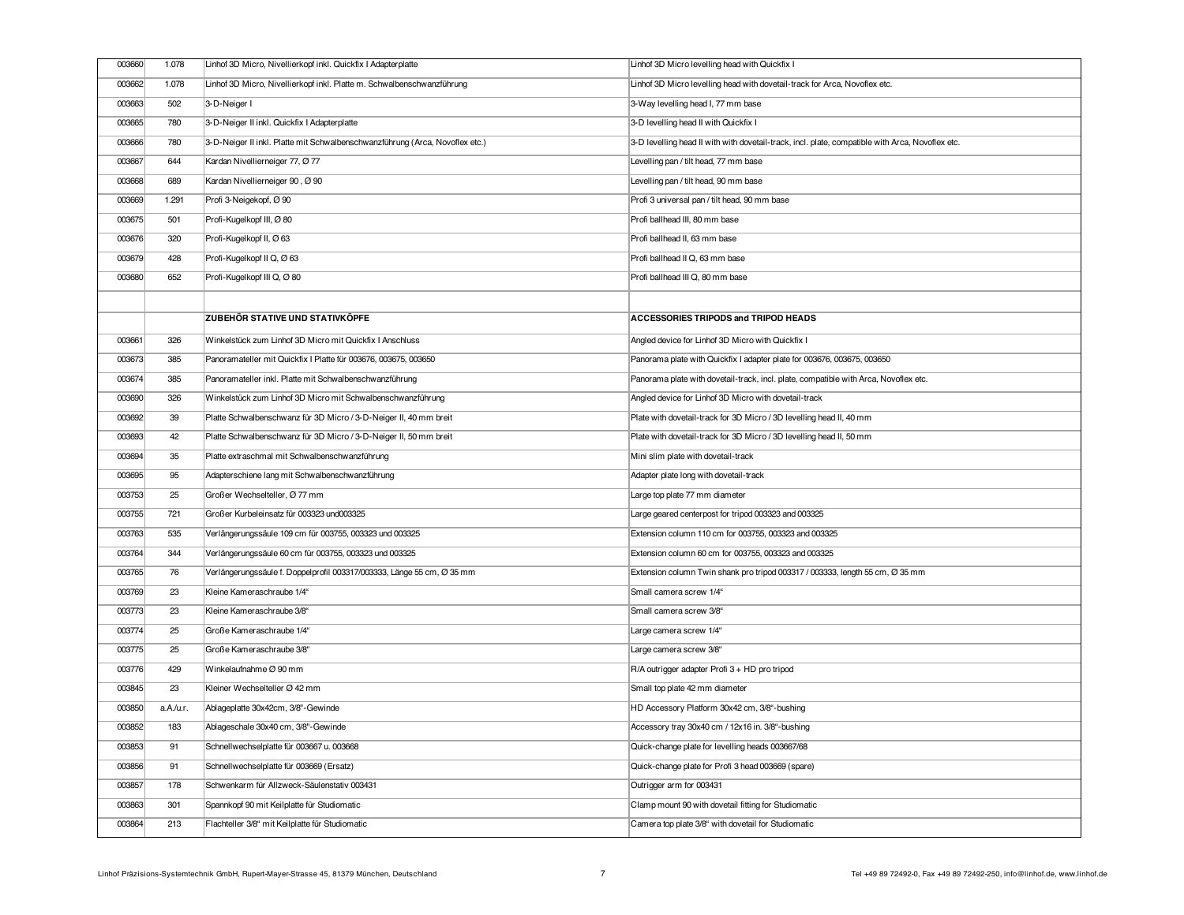| 003660 | 1.078     | Linhof 3D Micro, Nivellierkopf inkl. Quickfix I Adapterplatte                | Linhof 3D Micro levelling head with Quickfix I                                                   |
|--------|-----------|------------------------------------------------------------------------------|--------------------------------------------------------------------------------------------------|
| 003662 | 1.078     | Linhof 3D Micro, Nivellierkopf inkl. Platte m. Schwalbenschwanzführung       | Linhof 3D Micro levelling head with dovetail-track for Arca, Novoflex etc.                       |
| 003663 | 502       | 3-D-Neiger I                                                                 | 3-Way levelling head I, 77 mm base                                                               |
| 003665 | 780       | 3-D-Neiger II inkl. Quickfix I Adapterplatte                                 | 3-D levelling head II with Quickfix I                                                            |
| 003666 | 780       | 3-D-Neiger II inkl. Platte mit Schwalbenschwanzführung (Arca, Novoflex etc.) | 3-D levelling head II with with dovetail-track, incl. plate, compatible with Arca, Novoflex etc. |
| 003667 | 644       | Kardan Nivellierneiger 77, Ø 77                                              | Levelling pan / tilt head, 77 mm base                                                            |
| 003668 | 689       | Kardan Nivellierneiger 90, Ø 90                                              | Levelling pan / tilt head, 90 mm base                                                            |
| 003669 | 1.291     | Profi 3-Neigekopf, Ø 90                                                      | Profi 3 universal pan / tilt head, 90 mm base                                                    |
| 003675 | 501       | Profi-Kugelkopf III, Ø 80                                                    | Profi ballhead III, 80 mm base                                                                   |
| 003676 | 320       | Profi-Kugelkopf II, Ø 63                                                     | Profi ballhead II, 63 mm base                                                                    |
| 003679 | 428       | Profi-Kugelkopf II Q, Ø 63                                                   | Profi ballhead II Q, 63 mm base                                                                  |
| 003680 | 652       | Profi-Kugelkopf III Q, Ø 80                                                  | Profi ballhead III Q, 80 mm base                                                                 |
|        |           |                                                                              |                                                                                                  |
|        |           | <b>ZUBEHÖR STATIVE UND STATIVKÖPFE</b>                                       | ACCESSORIES TRIPODS and TRIPOD HEADS                                                             |
| 003661 | 326       | Winkelstück zum Linhof 3D Micro mit Quickfix I Anschluss                     | Angled device for Linhof 3D Micro with Quickfix I                                                |
| 003673 | 385       | Panoramateller mit Quickfix I Platte für 003676, 003675, 003650              | Panorama plate with Quickfix I adapter plate for 003676, 003675, 003650                          |
| 003674 | 385       | Panoramateller inkl. Platte mit Schwalbenschwanzführung                      | Panorama plate with dovetail-track, incl. plate, compatible with Arca, Novoflex etc.             |
| 003690 | 326       | Winkelstück zum Linhof 3D Micro mit Schwalbenschwanzführung                  | Angled device for Linhof 3D Micro with dovetail-track                                            |
| 003692 | 39        | Platte Schwalbenschwanz für 3D Micro / 3-D-Neiger II, 40 mm breit            | Plate with dovetail-track for 3D Micro / 3D levelling head II, 40 mm                             |
| 003693 | 42        | Platte Schwalbenschwanz für 3D Micro / 3-D-Neiger II, 50 mm breit            | Plate with dovetail-track for 3D Micro / 3D levelling head II, 50 mm                             |
| 003694 | 35        | Platte extraschmal mit Schwalbenschwanzführung                               | Mini slim plate with dovetail-track                                                              |
| 003695 | 95        | Adapterschiene lang mit Schwalbenschwanzführung                              | Adapter plate long with dovetail-track                                                           |
| 003753 | 25        | Großer Wechselteller, Ø 77 mm                                                | Large top plate 77 mm diameter                                                                   |
| 003755 | 721       | Großer Kurbeleinsatz für 003323 und003325                                    | Large geared centerpost for tripod 003323 and 003325                                             |
| 003763 | 535       | Verlängerungssäule 109 cm für 003755, 003323 und 003325                      | Extension column 110 cm for 003755, 003323 and 003325                                            |
| 003764 | 344       | Verlängerungssäule 60 cm für 003755, 003323 und 003325                       | Extension column 60 cm for 003755, 003323 and 003325                                             |
| 003765 | 76        | Verlängerungssäule f. Doppelprofil 003317/003333, Länge 55 cm, Ø 35 mm       | Extension column Twin shank pro tripod 003317 / 003333, length 55 cm, Ø 35 mm                    |
| 003769 | 23        | Kleine Kameraschraube 1/4"                                                   | Small camera screw 1/4"                                                                          |
| 003773 | 23        | Kleine Kameraschraube 3/8"                                                   | Small camera screw 3/8"                                                                          |
| 003774 | 25        | Große Kameraschraube 1/4"                                                    | Large camera screw 1/4"                                                                          |
| 003775 | 25        | Große Kameraschraube 3/8"                                                    | Large camera screw 3/8"                                                                          |
| 003776 | 429       | Winkelaufnahme Ø 90 mm                                                       | R/A outrigger adapter Profi 3 + HD pro tripod                                                    |
| 003845 | 23        | Kleiner Wechselteller Ø 42 mm                                                | Small top plate 42 mm diameter                                                                   |
| 003850 | a.A./u.r. | Ablageplatte 30x42cm, 3/8"-Gewinde                                           | HD Accessory Platform 30x42 cm, 3/8"-bushing                                                     |
| 003852 | 183       | Ablageschale 30x40 cm, 3/8"-Gewinde                                          | Accessory tray 30x40 cm / 12x16 in. 3/8"-bushing                                                 |
| 003853 | 91        | Schnellwechselplatte für 003667 u. 003668                                    | Quick-change plate for levelling heads 003667/68                                                 |
| 003856 | 91        | Schnellwechselplatte für 003669 (Ersatz)                                     | Quick-change plate for Profi 3 head 003669 (spare)                                               |
| 003857 | 178       | Schwenkarm für Allzweck-Säulenstativ 003431                                  | Outrigger arm for 003431                                                                         |
| 003863 | 301       | Spannkopf 90 mit Keilplatte für Studiomatic                                  | Clamp mount 90 with dovetail fitting for Studiomatic                                             |
| 003864 | 213       | Flachteller 3/8" mit Keilplatte für Studiomatic                              | Camera top plate 3/8" with dovetail for Studiomatic                                              |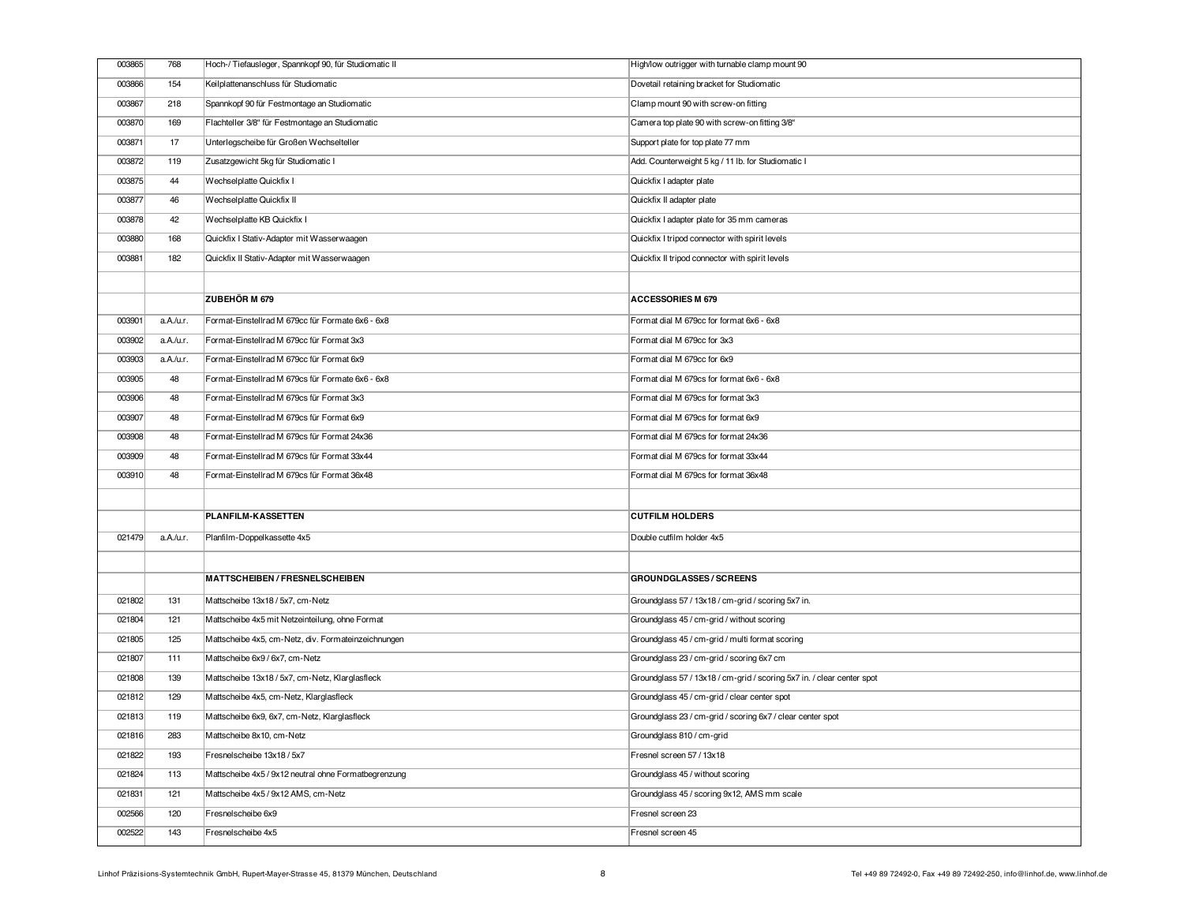| 003865 | 768       | Hoch-/Tiefausleger, Spannkopf 90, für Studiomatic II | High/low outrigger with turnable clamp mount 90                        |
|--------|-----------|------------------------------------------------------|------------------------------------------------------------------------|
| 003866 | 154       | Keilplattenanschluss für Studiomatic                 | Dovetail retaining bracket for Studiomatic                             |
| 003867 | 218       | Spannkopf 90 für Festmontage an Studiomatic          | Clamp mount 90 with screw-on fitting                                   |
| 003870 | 169       | Flachteller 3/8" für Festmontage an Studiomatic      | Camera top plate 90 with screw-on fitting 3/8"                         |
| 003871 | 17        | Unterlegscheibe für Großen Wechselteller             | Support plate for top plate 77 mm                                      |
| 003872 | 119       | Zusatzgewicht 5kg für Studiomatic I                  | Add. Counterweight 5 kg / 11 lb. for Studiomatic I                     |
| 003875 | 44        | Wechselplatte Quickfix I                             | Quickfix I adapter plate                                               |
| 003877 | 46        | Wechselplatte Quickfix II                            | Quickfix II adapter plate                                              |
| 003878 | 42        | Wechselplatte KB Quickfix I                          | Quickfix I adapter plate for 35 mm cameras                             |
| 003880 | 168       | Quickfix I Stativ-Adapter mit Wasserwaagen           | Quickfix I tripod connector with spirit levels                         |
| 003881 | 182       | Quickfix II Stativ-Adapter mit Wasserwaagen          | Quickfix II tripod connector with spirit levels                        |
|        |           |                                                      |                                                                        |
|        |           | <b>ZUBEHÖR M 679</b>                                 | <b>ACCESSORIES M 679</b>                                               |
| 003901 | a.A./u.r. | Format-Einstellrad M 679cc für Formate 6x6 - 6x8     | Format dial M 679cc for format 6x6 - 6x8                               |
| 003902 | a.A./u.r. | Format-Einstellrad M 679cc für Format 3x3            | Format dial M 679cc for 3x3                                            |
| 003903 | a.A./u.r. | Format-Einstellrad M 679cc für Format 6x9            | Format dial M 679cc for 6x9                                            |
| 003905 | 48        | Format-Einstellrad M 679cs für Formate 6x6 - 6x8     | Format dial M 679cs for format 6x6 - 6x8                               |
| 003906 | 48        | Format-Einstellrad M 679cs für Format 3x3            | Format dial M 679cs for format 3x3                                     |
| 003907 | 48        | Format-Einstellrad M 679cs für Format 6x9            | Format dial M 679cs for format 6x9                                     |
| 003908 | 48        | Format-Einstellrad M 679cs für Format 24x36          | Format dial M 679cs for format 24x36                                   |
| 003909 | 48        | Format-Einstellrad M 679cs für Format 33x44          | Format dial M 679cs for format 33x44                                   |
| 003910 | 48        | Format-Einstellrad M 679cs für Format 36x48          | Format dial M 679cs for format 36x48                                   |
|        |           |                                                      |                                                                        |
|        |           | PLANFILM-KASSETTEN                                   | <b>CUTFILM HOLDERS</b>                                                 |
| 021479 | a.A./u.r. | Planfilm-Doppelkassette 4x5                          | Double cutfilm holder 4x5                                              |
|        |           |                                                      |                                                                        |
|        |           | MATTSCHEIBEN / FRESNELSCHEIBEN                       | <b>GROUNDGLASSES / SCREENS</b>                                         |
| 021802 | 131       | Mattscheibe 13x18 / 5x7, cm-Netz                     | Groundglass 57 / 13x18 / cm-grid / scoring 5x7 in.                     |
| 021804 | 121       | Mattscheibe 4x5 mit Netzeinteilung, ohne Format      | Groundglass 45 / cm-grid / without scoring                             |
| 021805 | 125       | Mattscheibe 4x5, cm-Netz, div. Formateinzeichnungen  | Groundglass 45 / cm-grid / multi format scoring                        |
| 021807 | 111       | Mattscheibe 6x9 / 6x7, cm-Netz                       | Groundglass 23 / cm-grid / scoring 6x7 cm                              |
| 021808 | 139       | Mattscheibe 13x18 / 5x7, cm-Netz, Klarglasfleck      | Groundglass 57 / 13x18 / cm-grid / scoring 5x7 in. / clear center spot |
| 021812 | 129       | Mattscheibe 4x5, cm-Netz, Klarglasfleck              | Groundglass 45 / cm-grid / clear center spot                           |
| 021813 | 119       | Mattscheibe 6x9, 6x7, cm-Netz, Klarglasfleck         | Groundglass 23 / cm-grid / scoring 6x7 / clear center spot             |
| 021816 | 283       | Mattscheibe 8x10, cm-Netz                            | Groundglass 810 / cm-grid                                              |
| 021822 | 193       | Fresnelscheibe 13x18 / 5x7                           | Fresnel screen 57 / 13x18                                              |
| 021824 | 113       | Mattscheibe 4x5 / 9x12 neutral ohne Formatbegrenzung | Groundglass 45 / without scoring                                       |
|        |           |                                                      |                                                                        |
| 021831 | 121       | Mattscheibe 4x5 / 9x12 AMS, cm-Netz                  | Groundglass 45 / scoring 9x12, AMS mm scale                            |
| 002566 | 120       | Fresnelscheibe 6x9                                   | Fresnel screen 23                                                      |
| 002522 | 143       | Fresnelscheibe 4x5                                   | Fresnel screen 45                                                      |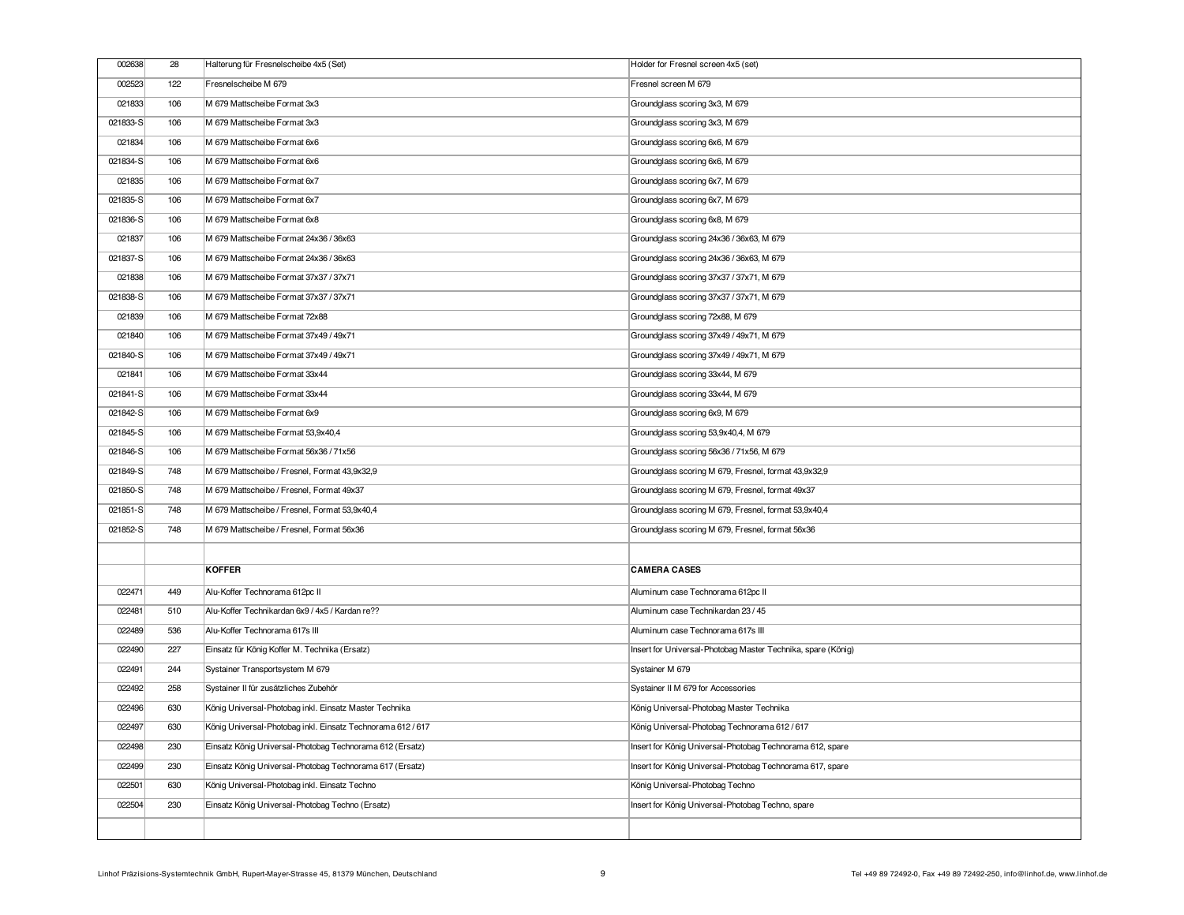| 002638   | 28  | Halterung für Fresnelscheibe 4x5 (Set)                      | Holder for Fresnel screen 4x5 (set)                          |
|----------|-----|-------------------------------------------------------------|--------------------------------------------------------------|
| 002523   | 122 | Fresnelscheibe M 679                                        | Fresnel screen M 679                                         |
| 021833   | 106 | M 679 Mattscheibe Format 3x3                                | Groundglass scoring 3x3, M 679                               |
| 021833-S | 106 | M 679 Mattscheibe Format 3x3                                | Groundglass scoring 3x3, M 679                               |
| 021834   | 106 | M 679 Mattscheibe Format 6x6                                | Groundglass scoring 6x6, M 679                               |
| 021834-S | 106 | M 679 Mattscheibe Format 6x6                                | Groundglass scoring 6x6, M 679                               |
| 021835   | 106 | M 679 Mattscheibe Format 6x7                                | Groundglass scoring 6x7, M 679                               |
| 021835-S | 106 | M 679 Mattscheibe Format 6x7                                | Groundglass scoring 6x7, M 679                               |
| 021836-S | 106 | M 679 Mattscheibe Format 6x8                                | Groundglass scoring 6x8, M 679                               |
| 021837   | 106 | M 679 Mattscheibe Format 24x36 / 36x63                      | Groundglass scoring 24x36 / 36x63, M 679                     |
| 021837-S | 106 | M 679 Mattscheibe Format 24x36 / 36x63                      | Groundglass scoring 24x36 / 36x63, M 679                     |
| 021838   | 106 | M 679 Mattscheibe Format 37x37 / 37x71                      | Groundglass scoring 37x37 / 37x71, M 679                     |
| 021838-S | 106 | M 679 Mattscheibe Format 37x37 / 37x71                      | Groundglass scoring 37x37 / 37x71, M 679                     |
| 021839   | 106 | M 679 Mattscheibe Format 72x88                              | Groundglass scoring 72x88, M 679                             |
| 021840   | 106 | M 679 Mattscheibe Format 37x49 / 49x71                      | Groundglass scoring 37x49 / 49x71, M 679                     |
| 021840-S | 106 | M 679 Mattscheibe Format 37x49 / 49x71                      | Groundglass scoring 37x49 / 49x71, M 679                     |
| 021841   | 106 | M 679 Mattscheibe Format 33x44                              | Groundglass scoring 33x44, M 679                             |
| 021841-S | 106 | M 679 Mattscheibe Format 33x44                              | Groundglass scoring 33x44, M 679                             |
| 021842-S | 106 | M 679 Mattscheibe Format 6x9                                | Groundglass scoring 6x9, M 679                               |
| 021845-S | 106 | M 679 Mattscheibe Format 53,9x40,4                          | Groundglass scoring 53,9x40,4, M 679                         |
| 021846-S | 106 | M 679 Mattscheibe Format 56x36 / 71x56                      | Groundglass scoring 56x36 / 71x56, M 679                     |
| 021849-S | 748 | M 679 Mattscheibe / Fresnel, Format 43,9x32,9               | Groundglass scoring M 679, Fresnel, format 43,9x32,9         |
| 021850-S | 748 | M 679 Mattscheibe / Fresnel, Format 49x37                   | Groundglass scoring M 679, Fresnel, format 49x37             |
| 021851-S | 748 | M 679 Mattscheibe / Fresnel, Format 53,9x40,4               | Groundglass scoring M 679, Fresnel, format 53,9x40,4         |
| 021852-S | 748 | M 679 Mattscheibe / Fresnel, Format 56x36                   | Groundglass scoring M 679, Fresnel, format 56x36             |
|          |     |                                                             |                                                              |
|          |     | <b>KOFFER</b>                                               | <b>CAMERA CASES</b>                                          |
| 022471   | 449 | Alu-Koffer Technorama 612pc II                              | Aluminum case Technorama 612pc II                            |
| 022481   | 510 | Alu-Koffer Technikardan 6x9 / 4x5 / Kardan re??             | Aluminum case Technikardan 23 / 45                           |
| 022489   | 536 | Alu-Koffer Technorama 617s III                              | Aluminum case Technorama 617s III                            |
| 022490   | 227 | Einsatz für König Koffer M. Technika (Ersatz)               | Insert for Universal-Photobag Master Technika, spare (König) |
| 022491   | 244 | Systainer Transportsystem M 679                             | Systainer M 679                                              |
| 022492   | 258 | Systainer II für zusätzliches Zubehör                       | Systainer II M 679 for Accessories                           |
| 022496   | 630 | König Universal-Photobag inkl. Einsatz Master Technika      | König Universal-Photobag Master Technika                     |
| 022497   | 630 | König Universal-Photobag inkl. Einsatz Technorama 612 / 617 | König Universal-Photobag Technorama 612 / 617                |
| 022498   | 230 | Einsatz König Universal-Photobag Technorama 612 (Ersatz)    | Insert for König Universal-Photobag Technorama 612, spare    |
| 022499   | 230 | Einsatz König Universal-Photobag Technorama 617 (Ersatz)    | Insert for König Universal-Photobag Technorama 617, spare    |
| 022501   | 630 | König Universal-Photobag inkl. Einsatz Techno               | König Universal-Photobag Techno                              |
| 022504   | 230 | Einsatz König Universal-Photobag Techno (Ersatz)            | Insert for König Universal-Photobag Techno, spare            |
|          |     |                                                             |                                                              |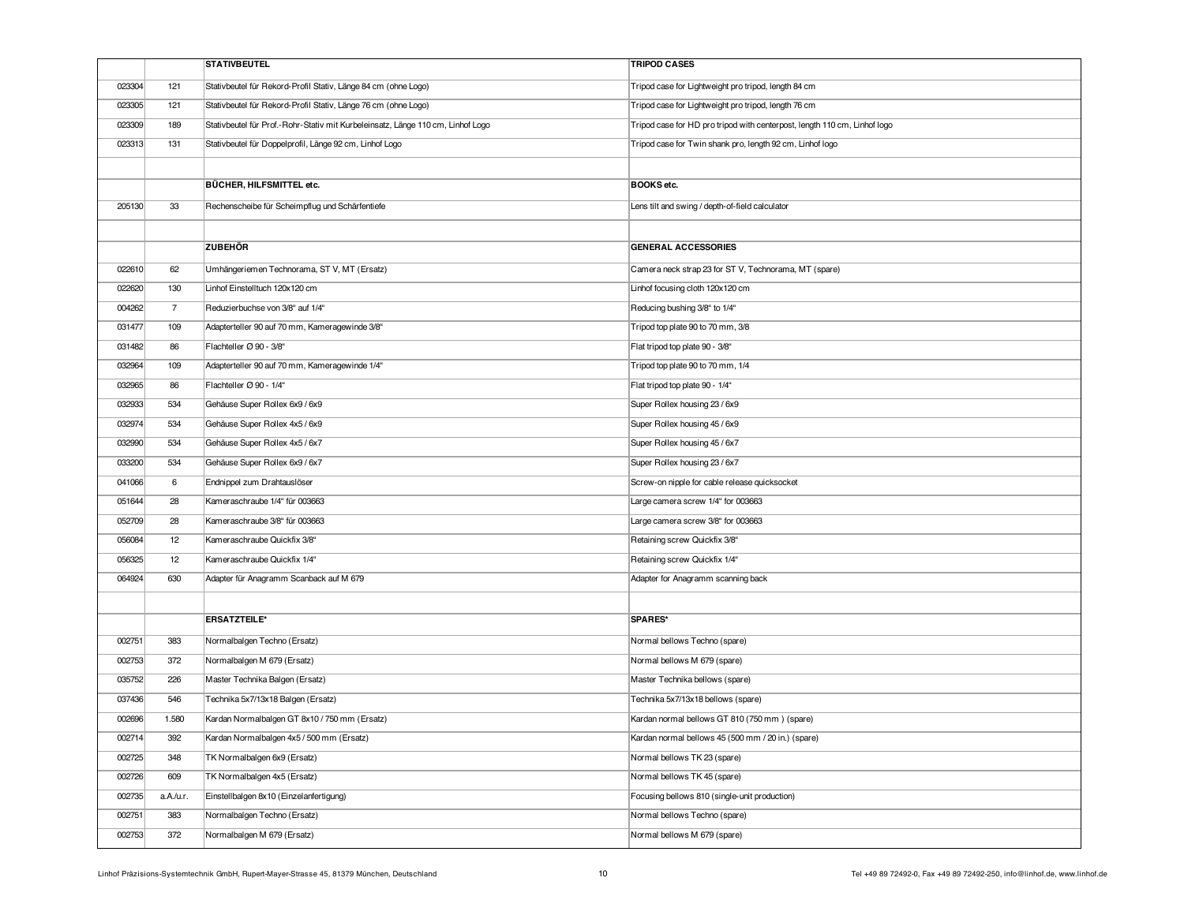|        |                | <b>STATIVBEUTEL</b>                                                             | <b>TRIPOD CASES</b>                                                       |
|--------|----------------|---------------------------------------------------------------------------------|---------------------------------------------------------------------------|
| 023304 | 121            | Stativbeutel für Rekord-Profil Stativ, Länge 84 cm (ohne Logo)                  | Tripod case for Lightweight pro tripod, length 84 cm                      |
| 023305 | 121            | Stativbeutel für Rekord-Profil Stativ, Länge 76 cm (ohne Logo)                  | Tripod case for Lightweight pro tripod, length 76 cm                      |
| 023309 | 189            | Stativbeutel für Prof.-Rohr-Stativ mit Kurbeleinsatz, Länge 110 cm, Linhof Logo | Tripod case for HD pro tripod with centerpost, length 110 cm, Linhof logo |
| 023313 | 131            | Stativbeutel für Doppelprofil, Länge 92 cm, Linhof Logo                         | Tripod case for Twin shank pro, length 92 cm, Linhof logo                 |
|        |                |                                                                                 |                                                                           |
|        |                | BÜCHER, HILFSMITTEL etc.                                                        | BOOKS etc.                                                                |
| 205130 | 33             | Rechenscheibe für Scheimpflug und Schärfentiefe                                 | Lens tilt and swing / depth-of-field calculator                           |
|        |                |                                                                                 |                                                                           |
|        |                | <b>ZUBEHÖR</b>                                                                  | <b>GENERAL ACCESSORIES</b>                                                |
| 022610 | 62             | Umhängeriemen Technorama, ST V, MT (Ersatz)                                     | Camera neck strap 23 for ST V, Technorama, MT (spare)                     |
| 022620 | 130            | Linhof Einstelltuch 120x120 cm                                                  | Linhof focusing cloth 120x120 cm                                          |
| 004262 | $\overline{7}$ | Reduzierbuchse von 3/8" auf 1/4"                                                | Reducing bushing 3/8" to 1/4"                                             |
| 031477 | 109            | Adapterteller 90 auf 70 mm, Kameragewinde 3/8"                                  | Tripod top plate 90 to 70 mm, 3/8                                         |
| 031482 | 86             | Flachteller Ø 90 - 3/8"                                                         | Flat tripod top plate 90 - 3/8"                                           |
| 032964 | 109            | Adapterteller 90 auf 70 mm, Kameragewinde 1/4"                                  | Tripod top plate 90 to 70 mm, 1/4                                         |
| 032965 | 86             | Flachteller Ø 90 - 1/4"                                                         | Flat tripod top plate 90 - 1/4"                                           |
| 032933 | 534            | Gehäuse Super Rollex 6x9 / 6x9                                                  | Super Rollex housing 23 / 6x9                                             |
| 032974 | 534            | Gehäuse Super Rollex 4x5 / 6x9                                                  | Super Rollex housing 45 / 6x9                                             |
| 032990 | 534            | Gehäuse Super Rollex 4x5 / 6x7                                                  | Super Rollex housing 45 / 6x7                                             |
| 033200 | 534            | Gehäuse Super Rollex 6x9 / 6x7                                                  | Super Rollex housing 23 / 6x7                                             |
| 041066 | 6              | Endnippel zum Drahtauslöser                                                     | Screw-on nipple for cable release quicksocket                             |
| 051644 | 28             | Kameraschraube 1/4" für 003663                                                  | Large camera screw 1/4" for 003663                                        |
| 052709 | 28             | Kameraschraube 3/8" für 003663                                                  | Large camera screw 3/8" for 003663                                        |
| 056084 | 12             | Kameraschraube Quickfix 3/8"                                                    | Retaining screw Quickfix 3/8"                                             |
| 056325 | 12             | Kameraschraube Quickfix 1/4"                                                    | Retaining screw Quickfix 1/4"                                             |
| 064924 | 630            | Adapter für Anagramm Scanback auf M 679                                         | Adapter for Anagramm scanning back                                        |
|        |                |                                                                                 |                                                                           |
|        |                | <b>ERSATZTEILE*</b>                                                             | SPARES*                                                                   |
| 002751 | 383            | Normalbalgen Techno (Ersatz)                                                    | Normal bellows Techno (spare)                                             |
| 002753 | 372            | Normalbalgen M 679 (Ersatz)                                                     | Normal bellows M 679 (spare)                                              |
| 035752 | 226            | Master Technika Balgen (Ersatz)                                                 | Master Technika bellows (spare)                                           |
| 037436 | 546            | Technika 5x7/13x18 Balgen (Ersatz)                                              | Technika 5x7/13x18 bellows (spare)                                        |
| 002696 | 1.580          | Kardan Normalbalgen GT 8x10 / 750 mm (Ersatz)                                   | Kardan normal bellows GT 810 (750 mm) (spare)                             |
| 002714 | 392            | Kardan Normalbalgen 4x5 / 500 mm (Ersatz)                                       | Kardan normal bellows 45 (500 mm / 20 in.) (spare)                        |
| 002725 | 348            | TK Normalbalgen 6x9 (Ersatz)                                                    | Normal bellows TK 23 (spare)                                              |
| 002726 | 609            | TK Normalbalgen 4x5 (Ersatz)                                                    | Normal bellows TK 45 (spare)                                              |
| 002735 | a.A./u.r.      | Einstellbalgen 8x10 (Einzelanfertigung)                                         | Focusing bellows 810 (single-unit production)                             |
| 002751 | 383            | Normalbalgen Techno (Ersatz)                                                    | Normal bellows Techno (spare)                                             |
| 002753 | 372            | Normalbalgen M 679 (Ersatz)                                                     | Normal bellows M 679 (spare)                                              |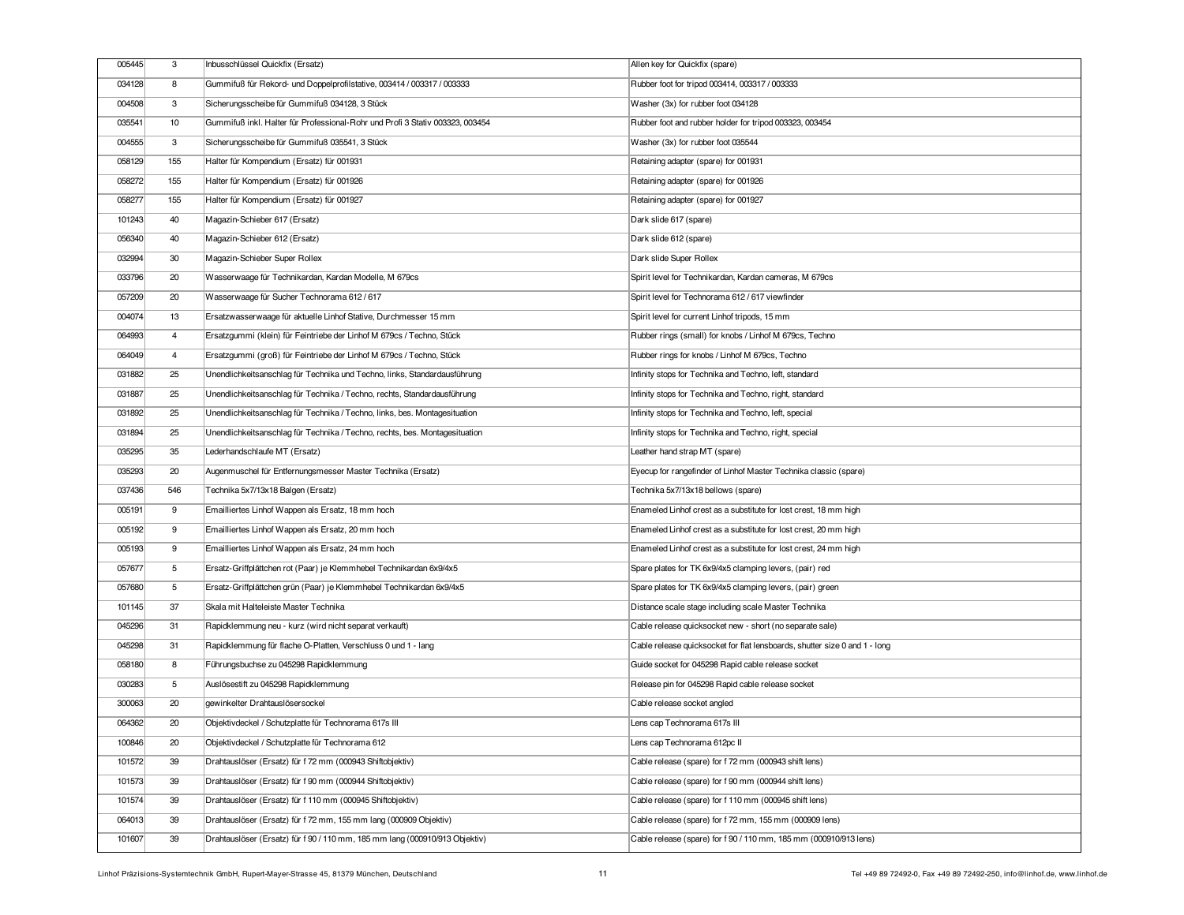| 005445 | 3              | Inbusschlüssel Quickfix (Ersatz)                                              | Allen key for Quickfix (spare)                                             |
|--------|----------------|-------------------------------------------------------------------------------|----------------------------------------------------------------------------|
| 034128 | 8              | Gummifuß für Rekord- und Doppelprofilstative, 003414 / 003317 / 003333        | Rubber foot for tripod 003414, 003317 / 003333                             |
| 004508 | 3              | Sicherungsscheibe für Gummifuß 034128, 3 Stück                                | Washer (3x) for rubber foot 034128                                         |
| 035541 | 10             | Gummifuß inkl. Halter für Professional-Rohr und Profi 3 Stativ 003323, 003454 | Rubber foot and rubber holder for tripod 003323, 003454                    |
| 004555 | 3              | Sicherungsscheibe für Gummifuß 035541, 3 Stück                                | Washer (3x) for rubber foot 035544                                         |
| 058129 | 155            | Halter für Kompendium (Ersatz) für 001931                                     | Retaining adapter (spare) for 001931                                       |
| 058272 | 155            | Halter für Kompendium (Ersatz) für 001926                                     | Retaining adapter (spare) for 001926                                       |
| 058277 | 155            | Halter für Kompendium (Ersatz) für 001927                                     | Retaining adapter (spare) for 001927                                       |
| 101243 | 40             | Magazin-Schieber 617 (Ersatz)                                                 | Dark slide 617 (spare)                                                     |
| 056340 | 40             | Magazin-Schieber 612 (Ersatz)                                                 | Dark slide 612 (spare)                                                     |
| 032994 | 30             | Magazin-Schieber Super Rollex                                                 | Dark slide Super Rollex                                                    |
| 033796 | 20             | Wasserwaage für Technikardan, Kardan Modelle, M 679cs                         | Spirit level for Technikardan, Kardan cameras, M 679cs                     |
| 057209 | 20             | Wasserwaage für Sucher Technorama 612 / 617                                   | Spirit level for Technorama 612 / 617 viewfinder                           |
| 004074 | 13             | Ersatzwasserwaage für aktuelle Linhof Stative, Durchmesser 15 mm              | Spirit level for current Linhof tripods, 15 mm                             |
| 064993 | $\overline{4}$ | Ersatzgummi (klein) für Feintriebe der Linhof M 679cs / Techno, Stück         | Rubber rings (small) for knobs / Linhof M 679cs, Techno                    |
| 064049 | $\overline{4}$ | Ersatzqummi (groß) für Feintriebe der Linhof M 679cs / Techno, Stück          | Rubber rings for knobs / Linhof M 679cs, Techno                            |
| 031882 | 25             | Unendlichkeitsanschlag für Technika und Techno, links, Standardausführung     | Infinity stops for Technika and Techno, left, standard                     |
| 031887 | 25             | Unendlichkeitsanschlag für Technika / Techno, rechts, Standardausführung      | Infinity stops for Technika and Techno, right, standard                    |
| 031892 | 25             | Unendlichkeitsanschlag für Technika / Techno, links, bes. Montagesituation    | Infinity stops for Technika and Techno, left, special                      |
| 031894 | 25             | Unendlichkeitsanschlag für Technika / Techno, rechts, bes. Montagesituation   | Infinity stops for Technika and Techno, right, special                     |
| 035295 | 35             | Lederhandschlaufe MT (Ersatz)                                                 | Leather hand strap MT (spare)                                              |
| 035293 | 20             | Augenmuschel für Entfernungsmesser Master Technika (Ersatz)                   | Eyecup for rangefinder of Linhof Master Technika classic (spare)           |
| 037436 | 546            | Technika 5x7/13x18 Balgen (Ersatz)                                            | Technika 5x7/13x18 bellows (spare)                                         |
| 005191 | 9              | Emailliertes Linhof Wappen als Ersatz, 18 mm hoch                             | Enameled Linhof crest as a substitute for lost crest, 18 mm high           |
| 005192 | 9              | Emailliertes Linhof Wappen als Ersatz, 20 mm hoch                             | Enameled Linhof crest as a substitute for lost crest, 20 mm high           |
| 005193 | 9              | Emailliertes Linhof Wappen als Ersatz, 24 mm hoch                             | Enameled Linhof crest as a substitute for lost crest, 24 mm high           |
| 057677 | 5              | Ersatz-Griffplättchen rot (Paar) je Klemmhebel Technikardan 6x9/4x5           | Spare plates for TK 6x9/4x5 clamping levers, (pair) red                    |
| 057680 | 5              | Ersatz-Griffplättchen grün (Paar) je Klemmhebel Technikardan 6x9/4x5          | Spare plates for TK 6x9/4x5 clamping levers, (pair) green                  |
| 101145 | 37             | Skala mit Halteleiste Master Technika                                         | Distance scale stage including scale Master Technika                       |
| 045296 | 31             | Rapidklemmung neu - kurz (wird nicht separat verkauft)                        | Cable release quicksocket new - short (no separate sale)                   |
| 045298 | 31             | Rapidklemmung für flache O-Platten, Verschluss 0 und 1 - lang                 | Cable release quicksocket for flat lensboards, shutter size 0 and 1 - long |
| 058180 | 8              | Führungsbuchse zu 045298 Rapidklemmung                                        | Guide socket for 045298 Rapid cable release socket                         |
| 030283 | 5              | Auslösestift zu 045298 Rapidklemmung                                          | Release pin for 045298 Rapid cable release socket                          |
| 300063 | 20             | gewinkelter Drahtauslösersockel                                               | Cable release socket angled                                                |
| 064362 | 20             | Objektivdeckel / Schutzplatte für Technorama 617s III                         | Lens cap Technorama 617s III                                               |
| 100846 | 20             | Objektivdeckel / Schutzplatte für Technorama 612                              | Lens cap Technorama 612pc II                                               |
| 101572 | 39             | Drahtauslöser (Ersatz) für f 72 mm (000943 Shiftobjektiv)                     | Cable release (spare) for f 72 mm (000943 shift lens)                      |
| 101573 | 39             | Drahtauslöser (Ersatz) für f 90 mm (000944 Shiftobjektiv)                     | Cable release (spare) for f 90 mm (000944 shift lens)                      |
| 101574 | 39             | Drahtauslöser (Ersatz) für f 110 mm (000945 Shiftobjektiv)                    | Cable release (spare) for f 110 mm (000945 shift lens)                     |
| 064013 | 39             | Drahtauslöser (Ersatz) für f 72 mm, 155 mm lang (000909 Objektiv)             | Cable release (spare) for f 72 mm, 155 mm (000909 lens)                    |
| 101607 | 39             | Drahtauslöser (Ersatz) für f 90 / 110 mm, 185 mm lang (000910/913 Objektiv)   | Cable release (spare) for f 90 / 110 mm, 185 mm (000910/913 lens)          |